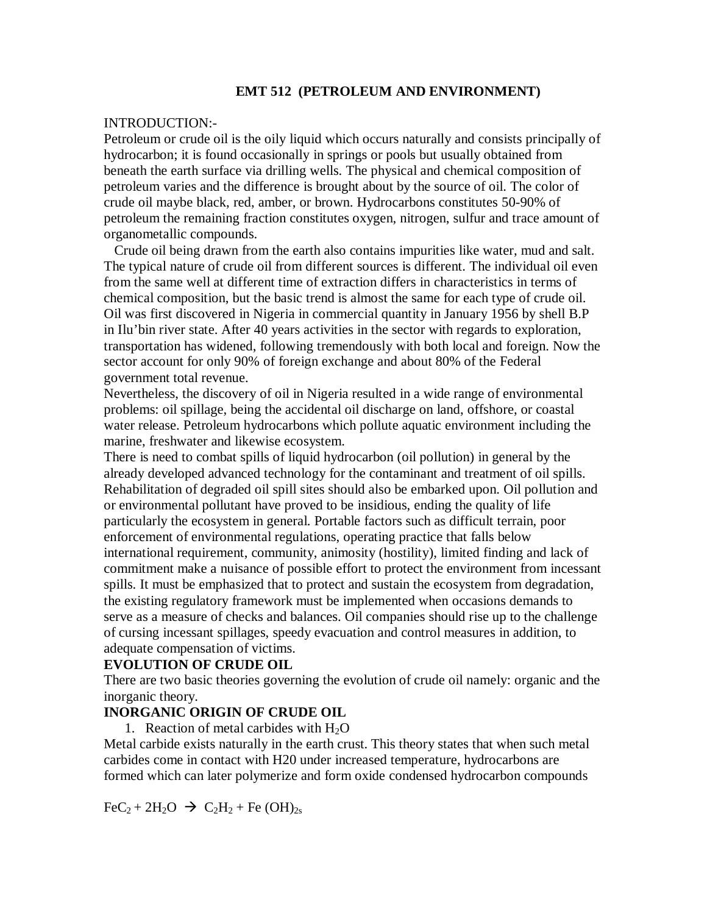#### **EMT 512 (PETROLEUM AND ENVIRONMENT)**

#### INTRODUCTION:-

Petroleum or crude oil is the oily liquid which occurs naturally and consists principally of hydrocarbon; it is found occasionally in springs or pools but usually obtained from beneath the earth surface via drilling wells. The physical and chemical composition of petroleum varies and the difference is brought about by the source of oil. The color of crude oil maybe black, red, amber, or brown. Hydrocarbons constitutes 50-90% of petroleum the remaining fraction constitutes oxygen, nitrogen, sulfur and trace amount of organometallic compounds.

 Crude oil being drawn from the earth also contains impurities like water, mud and salt. The typical nature of crude oil from different sources is different. The individual oil even from the same well at different time of extraction differs in characteristics in terms of chemical composition, but the basic trend is almost the same for each type of crude oil. Oil was first discovered in Nigeria in commercial quantity in January 1956 by shell B.P in Ilu'bin river state. After 40 years activities in the sector with regards to exploration, transportation has widened, following tremendously with both local and foreign. Now the sector account for only 90% of foreign exchange and about 80% of the Federal government total revenue.

Nevertheless, the discovery of oil in Nigeria resulted in a wide range of environmental problems: oil spillage, being the accidental oil discharge on land, offshore, or coastal water release. Petroleum hydrocarbons which pollute aquatic environment including the marine, freshwater and likewise ecosystem.

There is need to combat spills of liquid hydrocarbon (oil pollution) in general by the already developed advanced technology for the contaminant and treatment of oil spills. Rehabilitation of degraded oil spill sites should also be embarked upon. Oil pollution and or environmental pollutant have proved to be insidious, ending the quality of life particularly the ecosystem in general. Portable factors such as difficult terrain, poor enforcement of environmental regulations, operating practice that falls below international requirement, community, animosity (hostility), limited finding and lack of commitment make a nuisance of possible effort to protect the environment from incessant spills. It must be emphasized that to protect and sustain the ecosystem from degradation, the existing regulatory framework must be implemented when occasions demands to serve as a measure of checks and balances. Oil companies should rise up to the challenge of cursing incessant spillages, speedy evacuation and control measures in addition, to adequate compensation of victims.

#### **EVOLUTION OF CRUDE OIL**

There are two basic theories governing the evolution of crude oil namely: organic and the inorganic theory.

### **INORGANIC ORIGIN OF CRUDE OIL**

1. Reaction of metal carbides with  $H_2O$ 

Metal carbide exists naturally in the earth crust. This theory states that when such metal carbides come in contact with H20 under increased temperature, hydrocarbons are formed which can later polymerize and form oxide condensed hydrocarbon compounds

 $\text{FeC}_2 + 2\text{H}_2\text{O} \rightarrow \text{C}_2\text{H}_2 + \text{Fe} (\text{OH})_{2s}$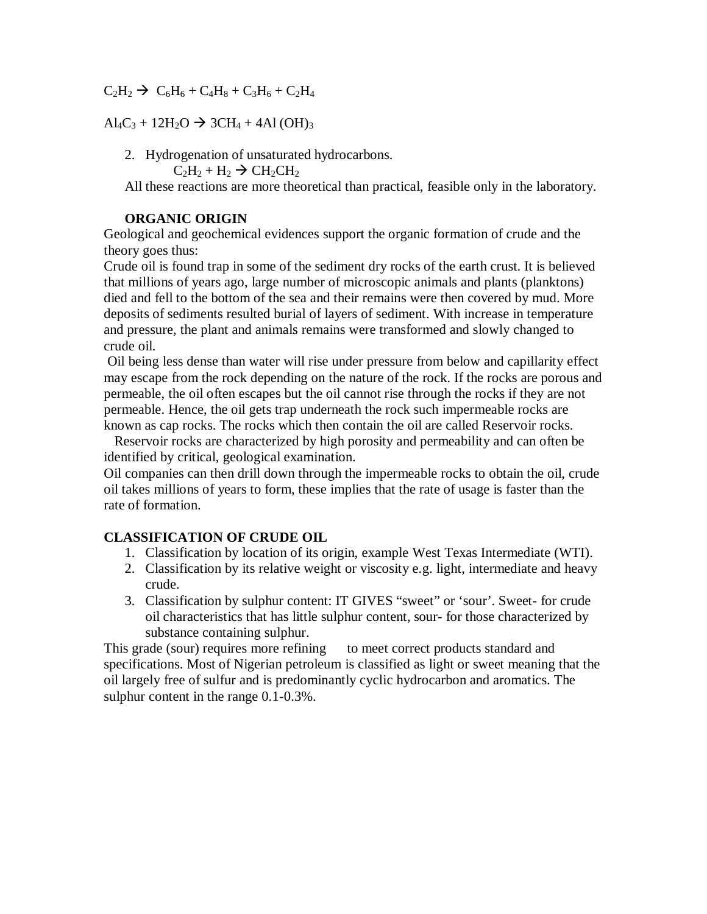$C_2H_2 \rightarrow C_6H_6 + C_4H_8 + C_3H_6 + C_2H_4$ 

 $\text{Al}_4\text{C}_3 + 12\text{H}_2\text{O} \rightarrow 3\text{CH}_4 + 4\text{Al}(\text{OH})_3$ 

2. Hydrogenation of unsaturated hydrocarbons.

 $C_2H_2 + H_2 \rightarrow CH_2CH_2$ 

All these reactions are more theoretical than practical, feasible only in the laboratory.

#### **ORGANIC ORIGIN**

Geological and geochemical evidences support the organic formation of crude and the theory goes thus:

Crude oil is found trap in some of the sediment dry rocks of the earth crust. It is believed that millions of years ago, large number of microscopic animals and plants (planktons) died and fell to the bottom of the sea and their remains were then covered by mud. More deposits of sediments resulted burial of layers of sediment. With increase in temperature and pressure, the plant and animals remains were transformed and slowly changed to crude oil.

Oil being less dense than water will rise under pressure from below and capillarity effect may escape from the rock depending on the nature of the rock. If the rocks are porous and permeable, the oil often escapes but the oil cannot rise through the rocks if they are not permeable. Hence, the oil gets trap underneath the rock such impermeable rocks are known as cap rocks. The rocks which then contain the oil are called Reservoir rocks.

 Reservoir rocks are characterized by high porosity and permeability and can often be identified by critical, geological examination.

Oil companies can then drill down through the impermeable rocks to obtain the oil, crude oil takes millions of years to form, these implies that the rate of usage is faster than the rate of formation.

### **CLASSIFICATION OF CRUDE OIL**

- 1. Classification by location of its origin, example West Texas Intermediate (WTI).
- 2. Classification by its relative weight or viscosity e.g. light, intermediate and heavy crude.
- 3. Classification by sulphur content: IT GIVES "sweet" or 'sour'. Sweet- for crude oil characteristics that has little sulphur content, sour- for those characterized by substance containing sulphur.

This grade (sour) requires more refining to meet correct products standard and specifications. Most of Nigerian petroleum is classified as light or sweet meaning that the oil largely free of sulfur and is predominantly cyclic hydrocarbon and aromatics. The sulphur content in the range 0.1-0.3%.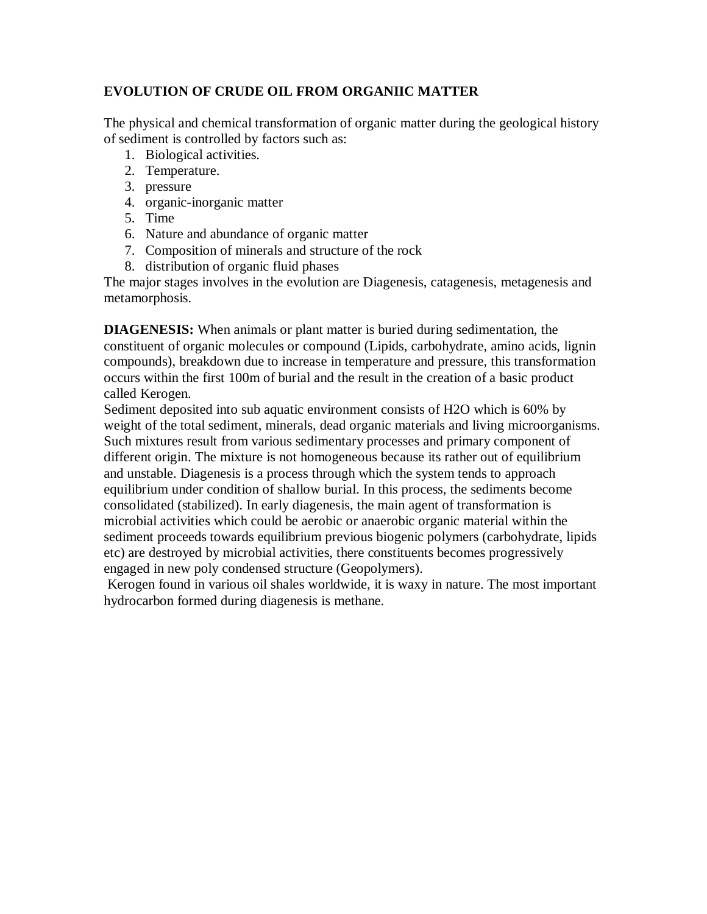# **EVOLUTION OF CRUDE OIL FROM ORGANIIC MATTER**

The physical and chemical transformation of organic matter during the geological history of sediment is controlled by factors such as:

- 1. Biological activities.
- 2. Temperature.
- 3. pressure
- 4. organic-inorganic matter
- 5. Time
- 6. Nature and abundance of organic matter
- 7. Composition of minerals and structure of the rock
- 8. distribution of organic fluid phases

The major stages involves in the evolution are Diagenesis, catagenesis, metagenesis and metamorphosis.

**DIAGENESIS:** When animals or plant matter is buried during sedimentation, the constituent of organic molecules or compound (Lipids, carbohydrate, amino acids, lignin compounds), breakdown due to increase in temperature and pressure, this transformation occurs within the first 100m of burial and the result in the creation of a basic product called Kerogen.

Sediment deposited into sub aquatic environment consists of H2O which is 60% by weight of the total sediment, minerals, dead organic materials and living microorganisms. Such mixtures result from various sedimentary processes and primary component of different origin. The mixture is not homogeneous because its rather out of equilibrium and unstable. Diagenesis is a process through which the system tends to approach equilibrium under condition of shallow burial. In this process, the sediments become consolidated (stabilized). In early diagenesis, the main agent of transformation is microbial activities which could be aerobic or anaerobic organic material within the sediment proceeds towards equilibrium previous biogenic polymers (carbohydrate, lipids etc) are destroyed by microbial activities, there constituents becomes progressively engaged in new poly condensed structure (Geopolymers).

Kerogen found in various oil shales worldwide, it is waxy in nature. The most important hydrocarbon formed during diagenesis is methane.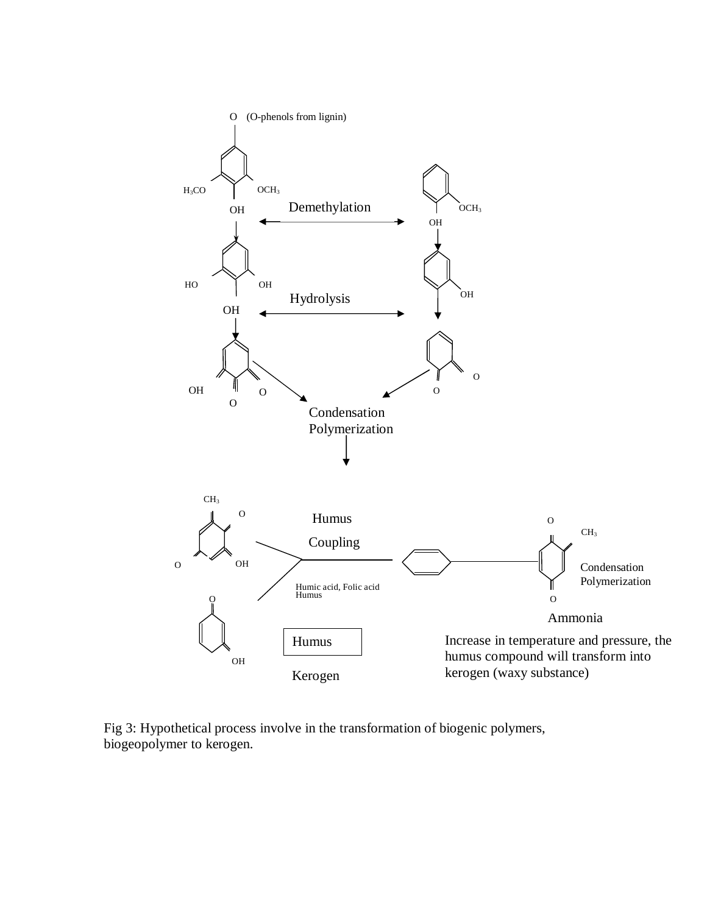

Fig 3: Hypothetical process involve in the transformation of biogenic polymers, biogeopolymer to kerogen.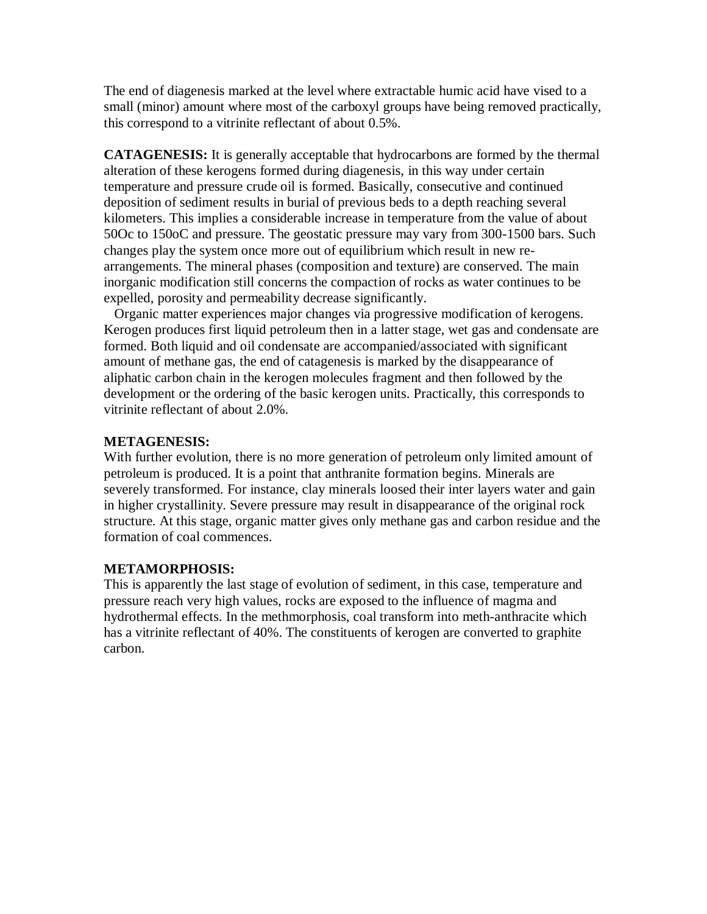The end of diagenesis marked at the level where extractable humic acid have vised to a small (minor) amount where most of the carboxyl groups have being removed practically, this correspond to a vitrinite reflectant of about 0.5%.

**CATAGENESIS:** It is generally acceptable that hydrocarbons are formed by the thermal alteration of these kerogens formed during diagenesis, in this way under certain temperature and pressure crude oil is formed. Basically, consecutive and continued deposition of sediment results in burial of previous beds to a depth reaching several kilometers. This implies a considerable increase in temperature from the value of about 50Oc to 150oC and pressure. The geostatic pressure may vary from 300-1500 bars. Such changes play the system once more out of equilibrium which result in new rearrangements. The mineral phases (composition and texture) are conserved. The main inorganic modification still concerns the compaction of rocks as water continues to be expelled, porosity and permeability decrease significantly.

 Organic matter experiences major changes via progressive modification of kerogens. Kerogen produces first liquid petroleum then in a latter stage, wet gas and condensate are formed. Both liquid and oil condensate are accompanied/associated with significant amount of methane gas, the end of catagenesis is marked by the disappearance of aliphatic carbon chain in the kerogen molecules fragment and then followed by the development or the ordering of the basic kerogen units. Practically, this corresponds to vitrinite reflectant of about 2.0%.

#### **METAGENESIS:**

With further evolution, there is no more generation of petroleum only limited amount of petroleum is produced. It is a point that anthranite formation begins. Minerals are severely transformed. For instance, clay minerals loosed their inter layers water and gain in higher crystallinity. Severe pressure may result in disappearance of the original rock structure. At this stage, organic matter gives only methane gas and carbon residue and the formation of coal commences.

### **METAMORPHOSIS:**

This is apparently the last stage of evolution of sediment, in this case, temperature and pressure reach very high values, rocks are exposed to the influence of magma and hydrothermal effects. In the methmorphosis, coal transform into meth-anthracite which has a vitrinite reflectant of 40%. The constituents of kerogen are converted to graphite carbon.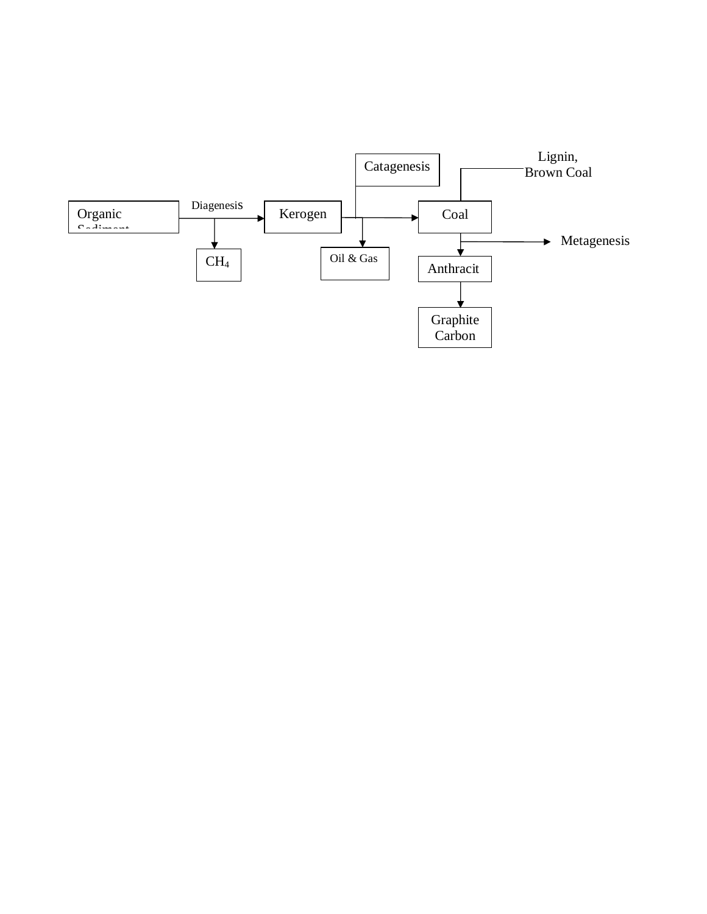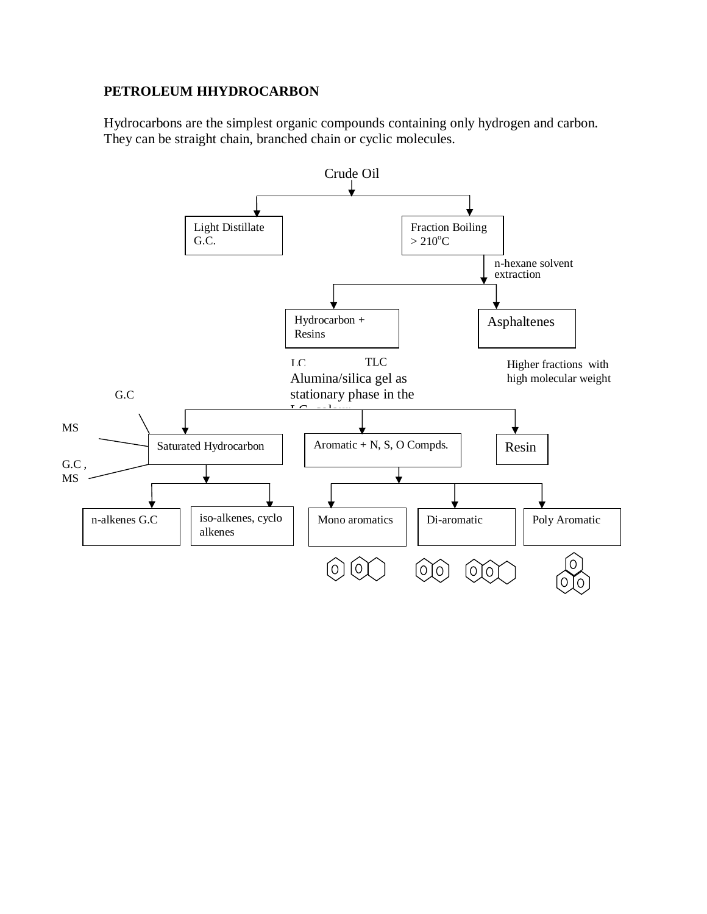### **PETROLEUM HHYDROCARBON**

Hydrocarbons are the simplest organic compounds containing only hydrogen and carbon. They can be straight chain, branched chain or cyclic molecules.

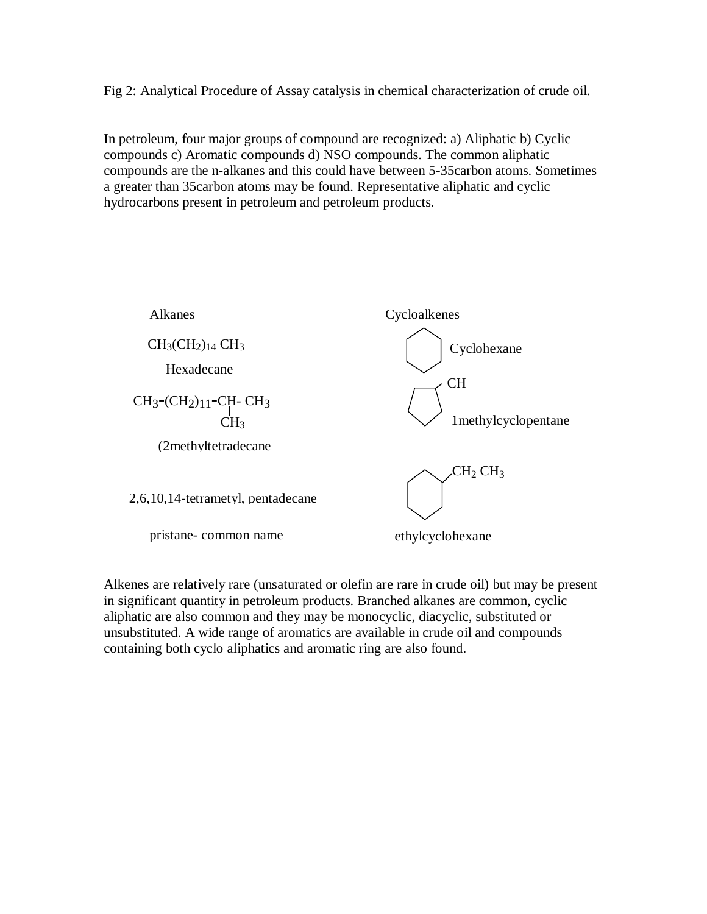Fig 2: Analytical Procedure of Assay catalysis in chemical characterization of crude oil.

In petroleum, four major groups of compound are recognized: a) Aliphatic b) Cyclic compounds c) Aromatic compounds d) NSO compounds. The common aliphatic compounds are the n-alkanes and this could have between 5-35carbon atoms. Sometimes a greater than 35carbon atoms may be found. Representative aliphatic and cyclic hydrocarbons present in petroleum and petroleum products.



Alkenes are relatively rare (unsaturated or olefin are rare in crude oil) but may be present in significant quantity in petroleum products. Branched alkanes are common, cyclic aliphatic are also common and they may be monocyclic, diacyclic, substituted or unsubstituted. A wide range of aromatics are available in crude oil and compounds containing both cyclo aliphatics and aromatic ring are also found.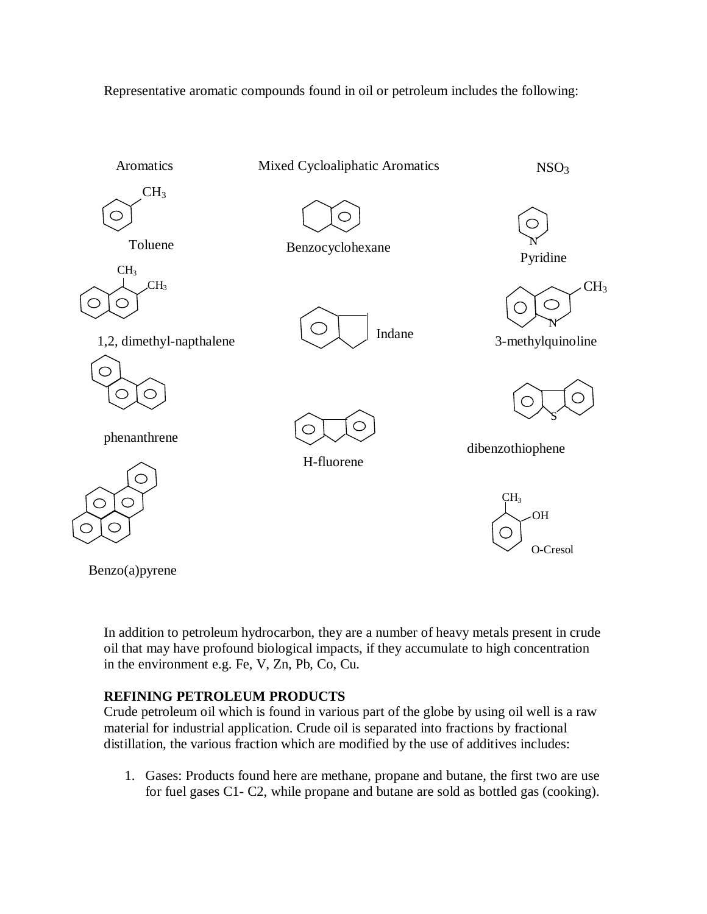Representative aromatic compounds found in oil or petroleum includes the following:



Benzo(a)pyrene

In addition to petroleum hydrocarbon, they are a number of heavy metals present in crude oil that may have profound biological impacts, if they accumulate to high concentration in the environment e.g. Fe, V, Zn, Pb, Co, Cu.

# **REFINING PETROLEUM PRODUCTS**

Crude petroleum oil which is found in various part of the globe by using oil well is a raw material for industrial application. Crude oil is separated into fractions by fractional distillation, the various fraction which are modified by the use of additives includes:

1. Gases: Products found here are methane, propane and butane, the first two are use for fuel gases C1- C2, while propane and butane are sold as bottled gas (cooking).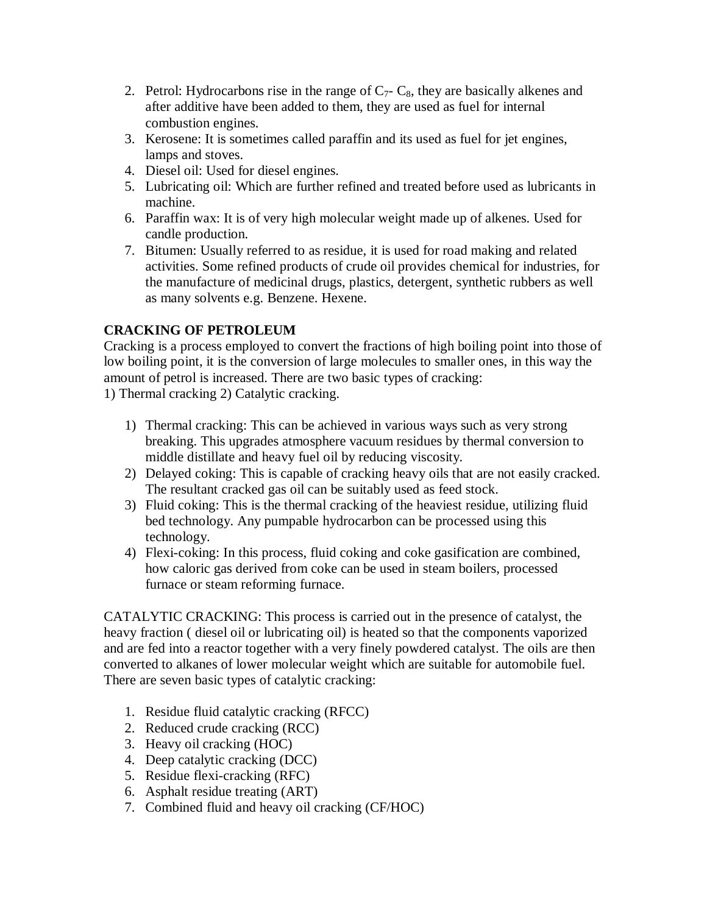- 2. Petrol: Hydrocarbons rise in the range of  $C_7$   $C_8$ , they are basically alkenes and after additive have been added to them, they are used as fuel for internal combustion engines.
- 3. Kerosene: It is sometimes called paraffin and its used as fuel for jet engines, lamps and stoves.
- 4. Diesel oil: Used for diesel engines.
- 5. Lubricating oil: Which are further refined and treated before used as lubricants in machine.
- 6. Paraffin wax: It is of very high molecular weight made up of alkenes. Used for candle production.
- 7. Bitumen: Usually referred to as residue, it is used for road making and related activities. Some refined products of crude oil provides chemical for industries, for the manufacture of medicinal drugs, plastics, detergent, synthetic rubbers as well as many solvents e.g. Benzene. Hexene.

# **CRACKING OF PETROLEUM**

Cracking is a process employed to convert the fractions of high boiling point into those of low boiling point, it is the conversion of large molecules to smaller ones, in this way the amount of petrol is increased. There are two basic types of cracking:

1) Thermal cracking 2) Catalytic cracking.

- 1) Thermal cracking: This can be achieved in various ways such as very strong breaking. This upgrades atmosphere vacuum residues by thermal conversion to middle distillate and heavy fuel oil by reducing viscosity.
- 2) Delayed coking: This is capable of cracking heavy oils that are not easily cracked. The resultant cracked gas oil can be suitably used as feed stock.
- 3) Fluid coking: This is the thermal cracking of the heaviest residue, utilizing fluid bed technology. Any pumpable hydrocarbon can be processed using this technology.
- 4) Flexi-coking: In this process, fluid coking and coke gasification are combined, how caloric gas derived from coke can be used in steam boilers, processed furnace or steam reforming furnace.

CATALYTIC CRACKING: This process is carried out in the presence of catalyst, the heavy fraction ( diesel oil or lubricating oil) is heated so that the components vaporized and are fed into a reactor together with a very finely powdered catalyst. The oils are then converted to alkanes of lower molecular weight which are suitable for automobile fuel. There are seven basic types of catalytic cracking:

- 1. Residue fluid catalytic cracking (RFCC)
- 2. Reduced crude cracking (RCC)
- 3. Heavy oil cracking (HOC)
- 4. Deep catalytic cracking (DCC)
- 5. Residue flexi-cracking (RFC)
- 6. Asphalt residue treating (ART)
- 7. Combined fluid and heavy oil cracking (CF/HOC)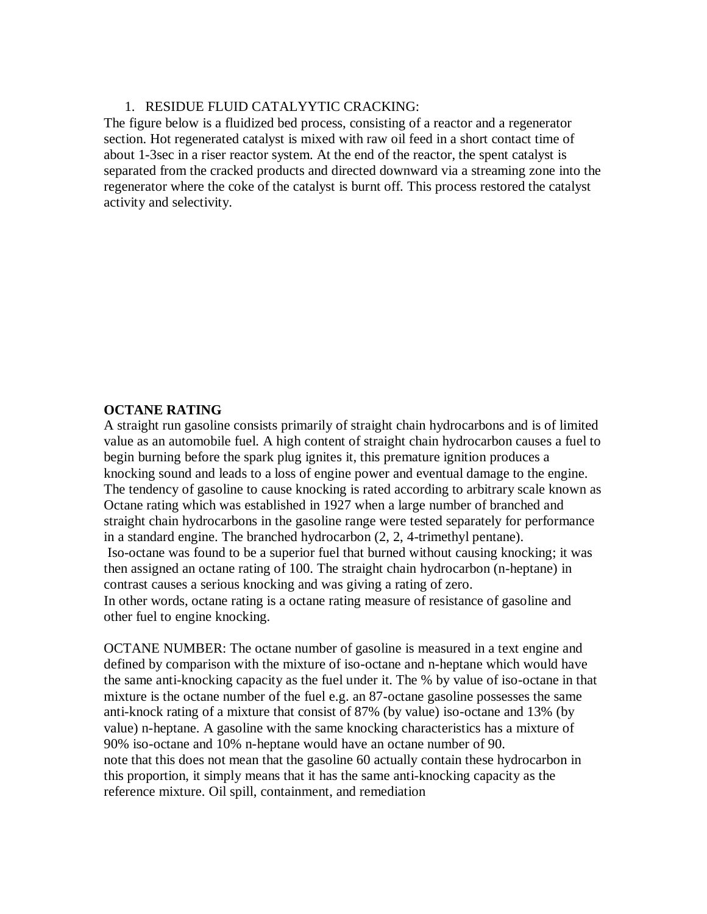#### 1. RESIDUE FLUID CATALYYTIC CRACKING:

The figure below is a fluidized bed process, consisting of a reactor and a regenerator section. Hot regenerated catalyst is mixed with raw oil feed in a short contact time of about 1-3sec in a riser reactor system. At the end of the reactor, the spent catalyst is separated from the cracked products and directed downward via a streaming zone into the regenerator where the coke of the catalyst is burnt off. This process restored the catalyst activity and selectivity.

#### **OCTANE RATING**

A straight run gasoline consists primarily of straight chain hydrocarbons and is of limited value as an automobile fuel. A high content of straight chain hydrocarbon causes a fuel to begin burning before the spark plug ignites it, this premature ignition produces a knocking sound and leads to a loss of engine power and eventual damage to the engine. The tendency of gasoline to cause knocking is rated according to arbitrary scale known as Octane rating which was established in 1927 when a large number of branched and straight chain hydrocarbons in the gasoline range were tested separately for performance in a standard engine. The branched hydrocarbon (2, 2, 4-trimethyl pentane). Iso-octane was found to be a superior fuel that burned without causing knocking; it was then assigned an octane rating of 100. The straight chain hydrocarbon (n-heptane) in contrast causes a serious knocking and was giving a rating of zero. In other words, octane rating is a octane rating measure of resistance of gasoline and other fuel to engine knocking.

OCTANE NUMBER: The octane number of gasoline is measured in a text engine and defined by comparison with the mixture of iso-octane and n-heptane which would have the same anti-knocking capacity as the fuel under it. The % by value of iso-octane in that mixture is the octane number of the fuel e.g. an 87-octane gasoline possesses the same anti-knock rating of a mixture that consist of 87% (by value) iso-octane and 13% (by value) n-heptane. A gasoline with the same knocking characteristics has a mixture of 90% iso-octane and 10% n-heptane would have an octane number of 90. note that this does not mean that the gasoline 60 actually contain these hydrocarbon in this proportion, it simply means that it has the same anti-knocking capacity as the reference mixture. Oil spill, containment, and remediation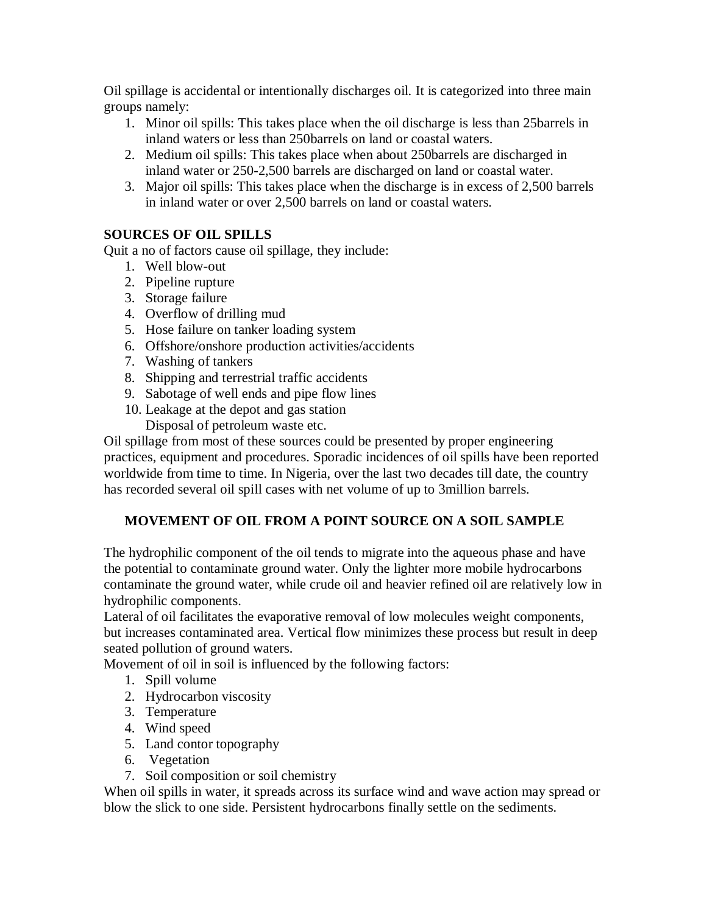Oil spillage is accidental or intentionally discharges oil. It is categorized into three main groups namely:

- 1. Minor oil spills: This takes place when the oil discharge is less than 25barrels in inland waters or less than 250barrels on land or coastal waters.
- 2. Medium oil spills: This takes place when about 250barrels are discharged in inland water or 250-2,500 barrels are discharged on land or coastal water.
- 3. Major oil spills: This takes place when the discharge is in excess of 2,500 barrels in inland water or over 2,500 barrels on land or coastal waters.

# **SOURCES OF OIL SPILLS**

Quit a no of factors cause oil spillage, they include:

- 1. Well blow-out
- 2. Pipeline rupture
- 3. Storage failure
- 4. Overflow of drilling mud
- 5. Hose failure on tanker loading system
- 6. Offshore/onshore production activities/accidents
- 7. Washing of tankers
- 8. Shipping and terrestrial traffic accidents
- 9. Sabotage of well ends and pipe flow lines
- 10. Leakage at the depot and gas station

Disposal of petroleum waste etc.

Oil spillage from most of these sources could be presented by proper engineering practices, equipment and procedures. Sporadic incidences of oil spills have been reported worldwide from time to time. In Nigeria, over the last two decades till date, the country has recorded several oil spill cases with net volume of up to 3million barrels.

# **MOVEMENT OF OIL FROM A POINT SOURCE ON A SOIL SAMPLE**

The hydrophilic component of the oil tends to migrate into the aqueous phase and have the potential to contaminate ground water. Only the lighter more mobile hydrocarbons contaminate the ground water, while crude oil and heavier refined oil are relatively low in hydrophilic components.

Lateral of oil facilitates the evaporative removal of low molecules weight components, but increases contaminated area. Vertical flow minimizes these process but result in deep seated pollution of ground waters.

Movement of oil in soil is influenced by the following factors:

- 1. Spill volume
- 2. Hydrocarbon viscosity
- 3. Temperature
- 4. Wind speed
- 5. Land contor topography
- 6. Vegetation
- 7. Soil composition or soil chemistry

When oil spills in water, it spreads across its surface wind and wave action may spread or blow the slick to one side. Persistent hydrocarbons finally settle on the sediments.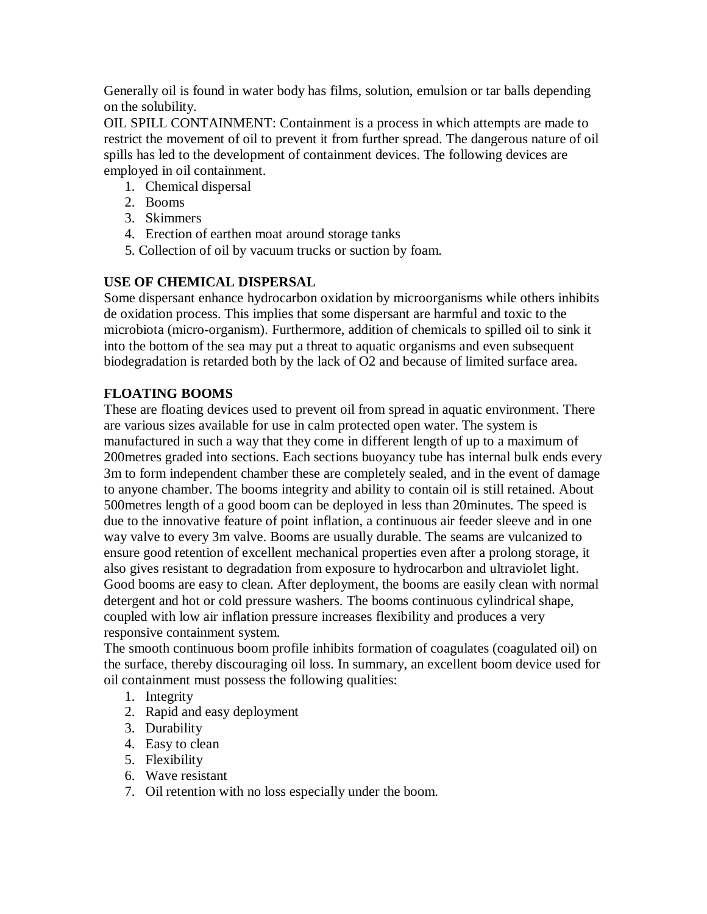Generally oil is found in water body has films, solution, emulsion or tar balls depending on the solubility.

OIL SPILL CONTAINMENT: Containment is a process in which attempts are made to restrict the movement of oil to prevent it from further spread. The dangerous nature of oil spills has led to the development of containment devices. The following devices are employed in oil containment.

- 1. Chemical dispersal
- 2. Booms
- 3. Skimmers
- 4. Erection of earthen moat around storage tanks
- 5. Collection of oil by vacuum trucks or suction by foam.

# **USE OF CHEMICAL DISPERSAL**

Some dispersant enhance hydrocarbon oxidation by microorganisms while others inhibits de oxidation process. This implies that some dispersant are harmful and toxic to the microbiota (micro-organism). Furthermore, addition of chemicals to spilled oil to sink it into the bottom of the sea may put a threat to aquatic organisms and even subsequent biodegradation is retarded both by the lack of O2 and because of limited surface area.

# **FLOATING BOOMS**

These are floating devices used to prevent oil from spread in aquatic environment. There are various sizes available for use in calm protected open water. The system is manufactured in such a way that they come in different length of up to a maximum of 200metres graded into sections. Each sections buoyancy tube has internal bulk ends every 3m to form independent chamber these are completely sealed, and in the event of damage to anyone chamber. The booms integrity and ability to contain oil is still retained. About 500metres length of a good boom can be deployed in less than 20minutes. The speed is due to the innovative feature of point inflation, a continuous air feeder sleeve and in one way valve to every 3m valve. Booms are usually durable. The seams are vulcanized to ensure good retention of excellent mechanical properties even after a prolong storage, it also gives resistant to degradation from exposure to hydrocarbon and ultraviolet light. Good booms are easy to clean. After deployment, the booms are easily clean with normal detergent and hot or cold pressure washers. The booms continuous cylindrical shape, coupled with low air inflation pressure increases flexibility and produces a very responsive containment system.

The smooth continuous boom profile inhibits formation of coagulates (coagulated oil) on the surface, thereby discouraging oil loss. In summary, an excellent boom device used for oil containment must possess the following qualities:

- 1. Integrity
- 2. Rapid and easy deployment
- 3. Durability
- 4. Easy to clean
- 5. Flexibility
- 6. Wave resistant
- 7. Oil retention with no loss especially under the boom.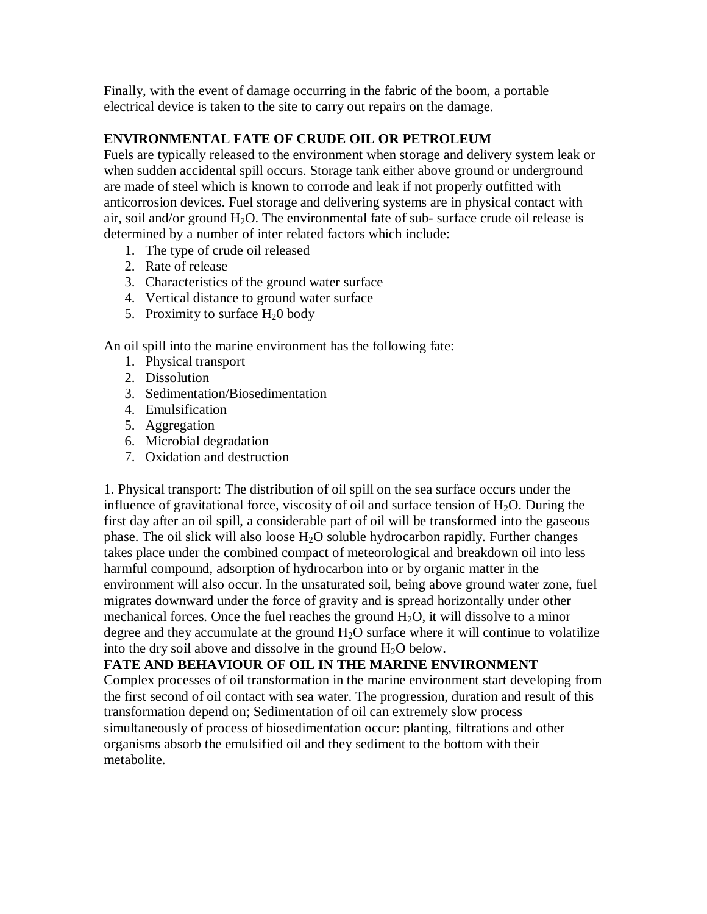Finally, with the event of damage occurring in the fabric of the boom, a portable electrical device is taken to the site to carry out repairs on the damage.

### **ENVIRONMENTAL FATE OF CRUDE OIL OR PETROLEUM**

Fuels are typically released to the environment when storage and delivery system leak or when sudden accidental spill occurs. Storage tank either above ground or underground are made of steel which is known to corrode and leak if not properly outfitted with anticorrosion devices. Fuel storage and delivering systems are in physical contact with air, soil and/or ground  $H_2O$ . The environmental fate of sub- surface crude oil release is determined by a number of inter related factors which include:

- 1. The type of crude oil released
- 2. Rate of release
- 3. Characteristics of the ground water surface
- 4. Vertical distance to ground water surface
- 5. Proximity to surface  $H<sub>2</sub>0$  body

An oil spill into the marine environment has the following fate:

- 1. Physical transport
- 2. Dissolution
- 3. Sedimentation/Biosedimentation
- 4. Emulsification
- 5. Aggregation
- 6. Microbial degradation
- 7. Oxidation and destruction

1. Physical transport: The distribution of oil spill on the sea surface occurs under the influence of gravitational force, viscosity of oil and surface tension of  $H_2O$ . During the first day after an oil spill, a considerable part of oil will be transformed into the gaseous phase. The oil slick will also loose  $H_2O$  soluble hydrocarbon rapidly. Further changes takes place under the combined compact of meteorological and breakdown oil into less harmful compound, adsorption of hydrocarbon into or by organic matter in the environment will also occur. In the unsaturated soil, being above ground water zone, fuel migrates downward under the force of gravity and is spread horizontally under other mechanical forces. Once the fuel reaches the ground  $H_2O$ , it will dissolve to a minor degree and they accumulate at the ground  $H_2O$  surface where it will continue to volatilize into the dry soil above and dissolve in the ground  $H_2O$  below.

# **FATE AND BEHAVIOUR OF OIL IN THE MARINE ENVIRONMENT**

Complex processes of oil transformation in the marine environment start developing from the first second of oil contact with sea water. The progression, duration and result of this transformation depend on; Sedimentation of oil can extremely slow process simultaneously of process of biosedimentation occur: planting, filtrations and other organisms absorb the emulsified oil and they sediment to the bottom with their metabolite.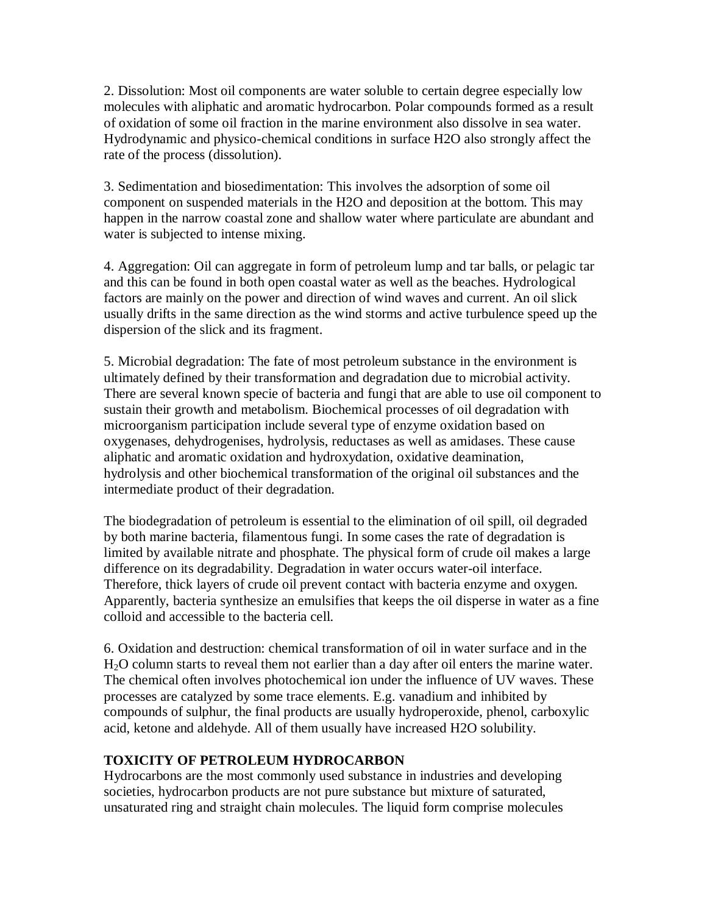2. Dissolution: Most oil components are water soluble to certain degree especially low molecules with aliphatic and aromatic hydrocarbon. Polar compounds formed as a result of oxidation of some oil fraction in the marine environment also dissolve in sea water. Hydrodynamic and physico-chemical conditions in surface H2O also strongly affect the rate of the process (dissolution).

3. Sedimentation and biosedimentation: This involves the adsorption of some oil component on suspended materials in the H2O and deposition at the bottom. This may happen in the narrow coastal zone and shallow water where particulate are abundant and water is subjected to intense mixing.

4. Aggregation: Oil can aggregate in form of petroleum lump and tar balls, or pelagic tar and this can be found in both open coastal water as well as the beaches. Hydrological factors are mainly on the power and direction of wind waves and current. An oil slick usually drifts in the same direction as the wind storms and active turbulence speed up the dispersion of the slick and its fragment.

5. Microbial degradation: The fate of most petroleum substance in the environment is ultimately defined by their transformation and degradation due to microbial activity. There are several known specie of bacteria and fungi that are able to use oil component to sustain their growth and metabolism. Biochemical processes of oil degradation with microorganism participation include several type of enzyme oxidation based on oxygenases, dehydrogenises, hydrolysis, reductases as well as amidases. These cause aliphatic and aromatic oxidation and hydroxydation, oxidative deamination, hydrolysis and other biochemical transformation of the original oil substances and the intermediate product of their degradation.

The biodegradation of petroleum is essential to the elimination of oil spill, oil degraded by both marine bacteria, filamentous fungi. In some cases the rate of degradation is limited by available nitrate and phosphate. The physical form of crude oil makes a large difference on its degradability. Degradation in water occurs water-oil interface. Therefore, thick layers of crude oil prevent contact with bacteria enzyme and oxygen. Apparently, bacteria synthesize an emulsifies that keeps the oil disperse in water as a fine colloid and accessible to the bacteria cell.

6. Oxidation and destruction: chemical transformation of oil in water surface and in the H2O column starts to reveal them not earlier than a day after oil enters the marine water. The chemical often involves photochemical ion under the influence of UV waves. These processes are catalyzed by some trace elements. E.g. vanadium and inhibited by compounds of sulphur, the final products are usually hydroperoxide, phenol, carboxylic acid, ketone and aldehyde. All of them usually have increased H2O solubility.

# **TOXICITY OF PETROLEUM HYDROCARBON**

Hydrocarbons are the most commonly used substance in industries and developing societies, hydrocarbon products are not pure substance but mixture of saturated, unsaturated ring and straight chain molecules. The liquid form comprise molecules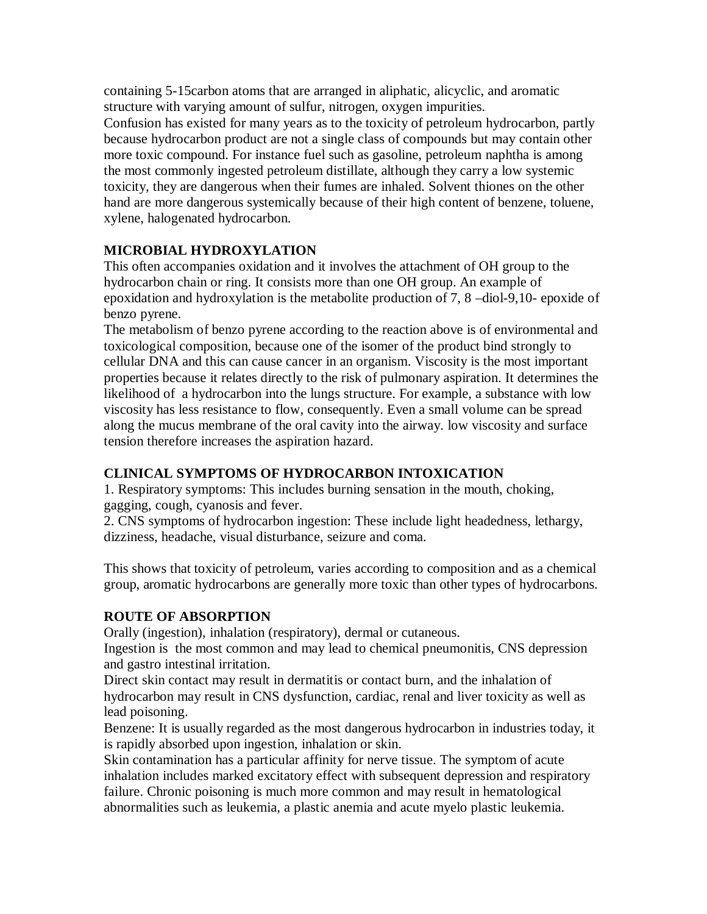containing 5-15carbon atoms that are arranged in aliphatic, alicyclic, and aromatic structure with varying amount of sulfur, nitrogen, oxygen impurities.

Confusion has existed for many years as to the toxicity of petroleum hydrocarbon, partly because hydrocarbon product are not a single class of compounds but may contain other more toxic compound. For instance fuel such as gasoline, petroleum naphtha is among the most commonly ingested petroleum distillate, although they carry a low systemic toxicity, they are dangerous when their fumes are inhaled. Solvent thiones on the other hand are more dangerous systemically because of their high content of benzene, toluene, xylene, halogenated hydrocarbon.

# **MICROBIAL HYDROXYLATION**

This often accompanies oxidation and it involves the attachment of OH group to the hydrocarbon chain or ring. It consists more than one OH group. An example of epoxidation and hydroxylation is the metabolite production of 7, 8 –diol-9,10- epoxide of benzo pyrene.

The metabolism of benzo pyrene according to the reaction above is of environmental and toxicological composition, because one of the isomer of the product bind strongly to cellular DNA and this can cause cancer in an organism. Viscosity is the most important properties because it relates directly to the risk of pulmonary aspiration. It determines the likelihood of a hydrocarbon into the lungs structure. For example, a substance with low viscosity has less resistance to flow, consequently. Even a small volume can be spread along the mucus membrane of the oral cavity into the airway. low viscosity and surface tension therefore increases the aspiration hazard.

# **CLINICAL SYMPTOMS OF HYDROCARBON INTOXICATION**

1. Respiratory symptoms: This includes burning sensation in the mouth, choking, gagging, cough, cyanosis and fever.

2. CNS symptoms of hydrocarbon ingestion: These include light headedness, lethargy, dizziness, headache, visual disturbance, seizure and coma.

This shows that toxicity of petroleum, varies according to composition and as a chemical group, aromatic hydrocarbons are generally more toxic than other types of hydrocarbons.

# **ROUTE OF ABSORPTION**

Orally (ingestion), inhalation (respiratory), dermal or cutaneous.

Ingestion is the most common and may lead to chemical pneumonitis, CNS depression and gastro intestinal irritation.

Direct skin contact may result in dermatitis or contact burn, and the inhalation of hydrocarbon may result in CNS dysfunction, cardiac, renal and liver toxicity as well as lead poisoning.

Benzene: It is usually regarded as the most dangerous hydrocarbon in industries today, it is rapidly absorbed upon ingestion, inhalation or skin.

Skin contamination has a particular affinity for nerve tissue. The symptom of acute inhalation includes marked excitatory effect with subsequent depression and respiratory failure. Chronic poisoning is much more common and may result in hematological abnormalities such as leukemia, a plastic anemia and acute myelo plastic leukemia.